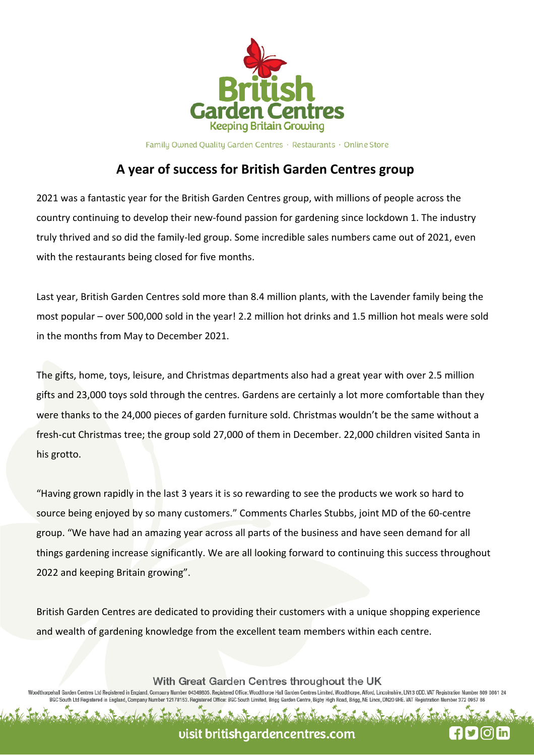

Family Owned Quality Garden Centres · Restaurants · Online Store

## **A year of success for British Garden Centres group**

2021 was a fantastic year for the British Garden Centres group, with millions of people across the country continuing to develop their new-found passion for gardening since lockdown 1. The industry truly thrived and so did the family-led group. Some incredible sales numbers came out of 2021, even with the restaurants being closed for five months.

Last year, British Garden Centres sold more than 8.4 million plants, with the Lavender family being the most popular – over 500,000 sold in the year! 2.2 million hot drinks and 1.5 million hot meals were sold in the months from May to December 2021.

The gifts, home, toys, leisure, and Christmas departments also had a great year with over 2.5 million gifts and 23,000 toys sold through the centres. Gardens are certainly a lot more comfortable than they were thanks to the 24,000 pieces of garden furniture sold. Christmas wouldn't be the same without a fresh-cut Christmas tree; the group sold 27,000 of them in December. 22,000 children visited Santa in his grotto.

"Having grown rapidly in the last 3 years it is so rewarding to see the products we work so hard to source being enjoyed by so many customers." Comments Charles Stubbs, joint MD of the 60-centre group. "We have had an amazing year across all parts of the business and have seen demand for all things gardening increase significantly. We are all looking forward to continuing this success throughout 2022 and keeping Britain growing".

British Garden Centres are dedicated to providing their customers with a unique shopping experience and wealth of gardening knowledge from the excellent team members within each centre.

With Great Garden Centres throughout the UK

(oodthorpehall Garden Centres Ltd Registered in England, Company Number 04349805. Registered Office: Woodthorpe Hall Garden Centres Limited, Woodthorpe, Alford, Lincolnshire, LN13 0DD. VAT Registration Number 809 0861 2 BGC South Ltd Registered in England, Company Nu

visit britishgardencentres.com